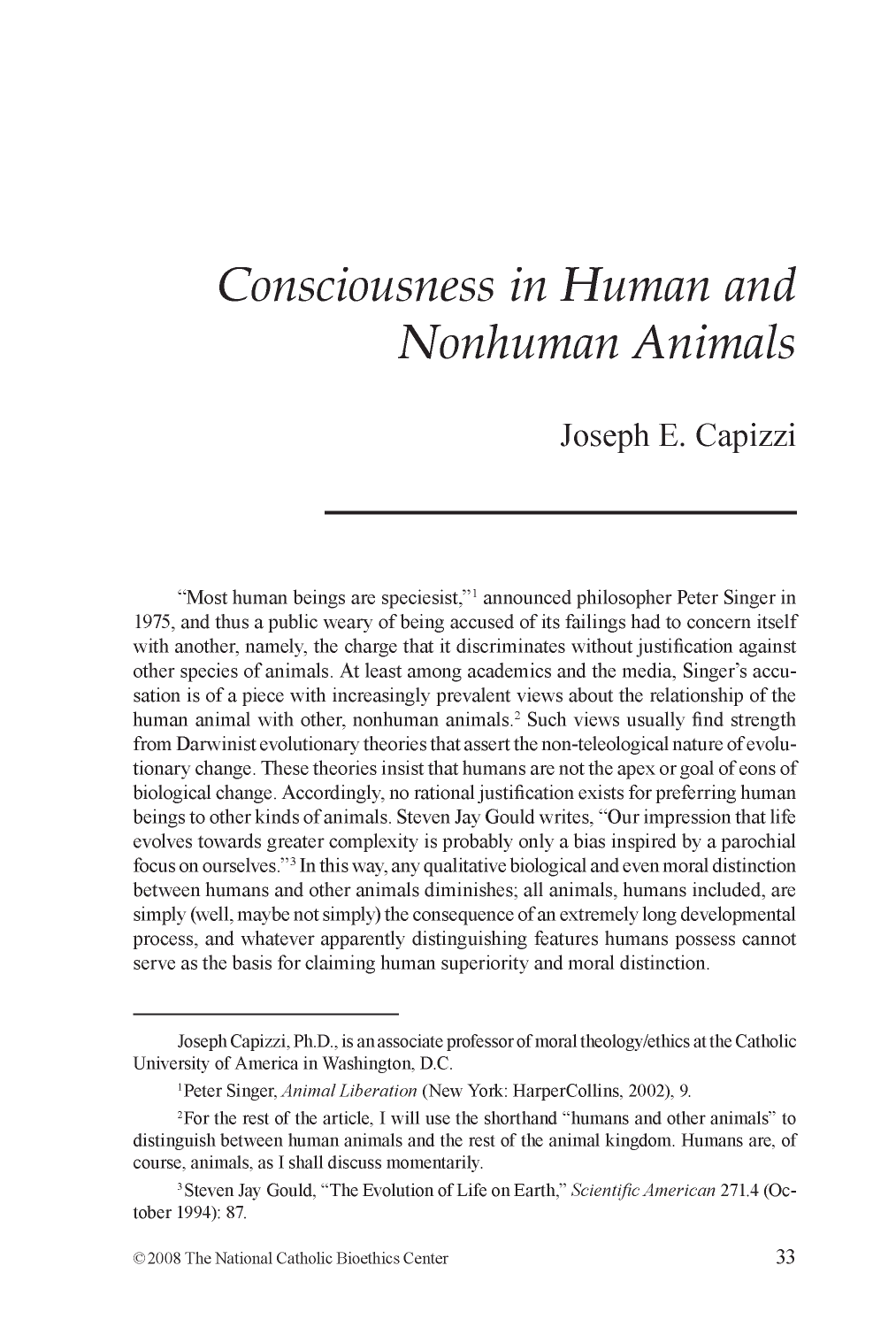# *Consciousness in Human and Nonhuman Animals*

Joseph E. Capizzi

"Most human beings are speciesist,"<sup>1</sup> announced philosopher Peter Singer in 1975, and thus a public weary of being accused of its failings had to concern itself with another, namely, the charge that it discriminates without justification against other species of animals. At least among academics and the media, Singer's accusation is of a piece with increasingly prevalent views about the relationship of the human animal with other, nonhuman animals.<sup>2</sup> Such views usually find strength from Darwinist evolutionary theories that assert the non-teleological nature of evolutionary change. These theories insist that humans are not the apex or goal of eons of biological change. Accordingly, no rational justification exists for preferring human beings to other kinds of animals. Steven Jay Gould writes, "Our impression that life evolves towards greater complexity is probably only a bias inspired by a parochial focus on ourselves."3 In this way, any qualitative biological and even moral distinction between humans and other animals diminishes; all animals, humans included, are simply (well, maybe not simply) the consequence of an extremely long developmental process, and whatever apparently distinguishing features humans possess cannot serve as the basis for claiming human superiority and moral distinction.

Joseph Capizzi, Ph.D., is an associate professor of moral theology/ethics at the Catholic University of America in Washington, D.C.

<sup>1</sup> Peter Singer, *Animal Liberation* (New York: HarperCollins, 2002), 9.

<sup>2</sup> For the rest of the article, I will use the shorthand "humans and other animals" to distinguish between human animals and the rest of the animal kingdom. Humans are, of course, animals, as I shall discuss momentarily.

<sup>3</sup> Steven Jay Gould, "The Evolution of Life on Earth," *Scientific American* 271.4 (October 1994): 87.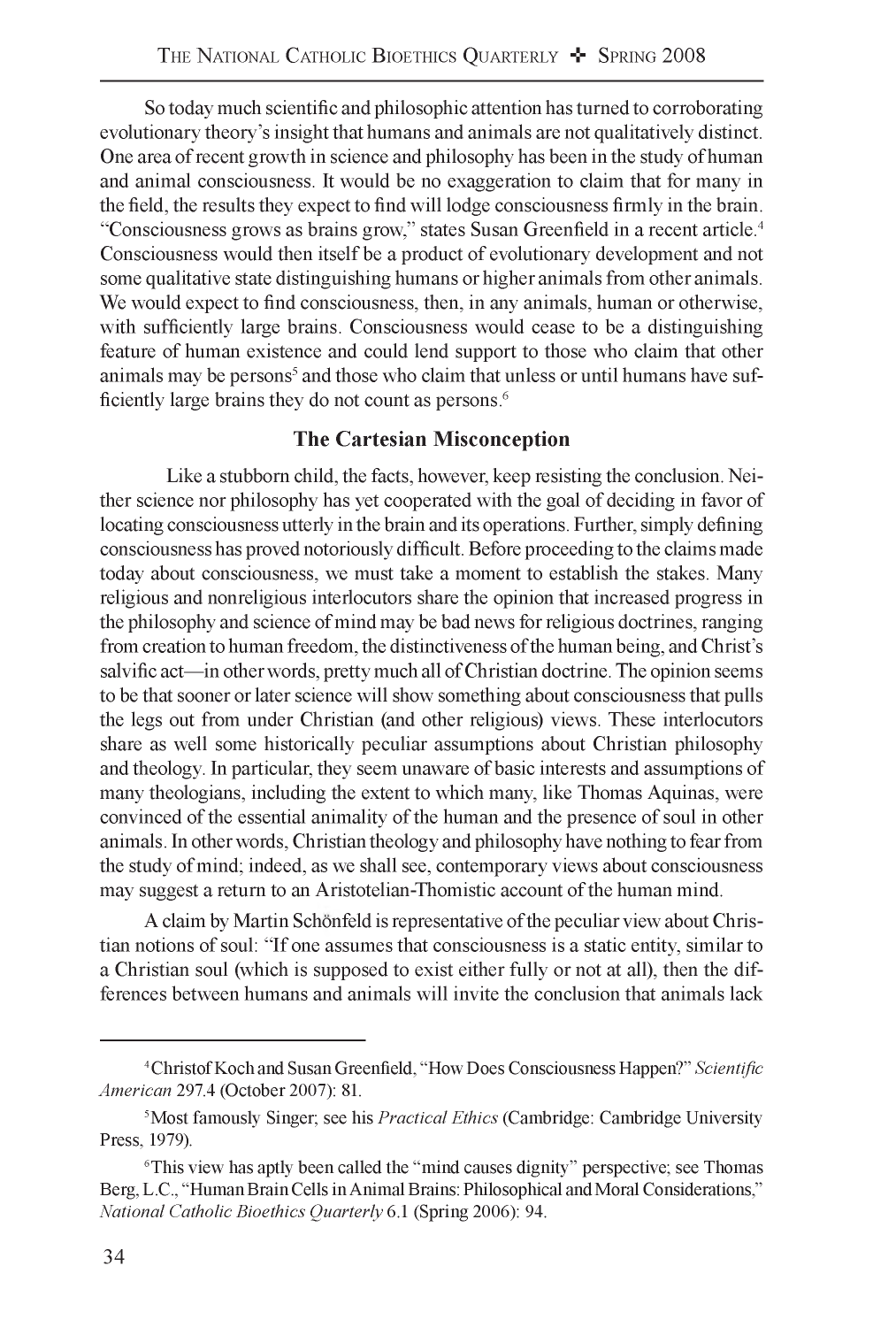So today much scientific and philosophic attention has turned to corroborating evolutionary theory's insight that humans and animals are not qualitatively distinct. One area of recent growth in science and philosophy has been in the study of human and animal consciousness. It would be no exaggeration to claim that for many in the field, the results they expect to find will lodge consciousness firmly in the brain. "Consciousness grows as brains grow," states Susan Greenfield in a recent article.4 Consciousness would then itself be a product of evolutionary development and not some qualitative state distinguishing humans or higher animals from other animals. We would expect to find consciousness, then, in any animals, human or otherwise, with sufficiently large brains. Consciousness would cease to be a distinguishing feature of human existence and could lend support to those who claim that other animals may be persons<sup>5</sup> and those who claim that unless or until humans have sufficiently large brains they do not count as persons.<sup>6</sup>

### **The Cartesian Misconception**

Like a stubborn child, the facts, however, keep resisting the conclusion. Neither science nor philosophy has yet cooperated with the goal of deciding in favor of locating consciousness utterly in the brain and its operations. Further, simply defining consciousness has proved notoriously difficult. Before proceeding to the claims made today about consciousness, we must take a moment to establish the stakes. Many religious and nonreligious interlocutors share the opinion that increased progress in the philosophy and science of mind may be bad news for religious doctrines, ranging from creation to human freedom, the distinctiveness of the human being, and Christ's salvific act—in other words, pretty much all of Christian doctrine. The opinion seems to be that sooner or later science will show something about consciousness that pulls the legs out from under Christian (and other religious) views. These interlocutors share as well some historically peculiar assumptions about Christian philosophy and theology. In particular, they seem unaware of basic interests and assumptions of many theologians, including the extent to which many, like Thomas Aquinas, were convinced of the essential animality of the human and the presence of soul in other animals. In other words, Christian theology and philosophy have nothing to fear from the study of mind; indeed, as we shall see, contemporary views about consciousness may suggest a return to an Aristotelian-Thomistic account of the human mind.

A claim by Martin Schönfeld is representative of the peculiar view about Christian notions of soul: "If one assumes that consciousness is a static entity, similar to a Christian soul (which is supposed to exist either fully or not at all), then the differences between humans and animals will invite the conclusion that animals lack

<sup>4</sup> Christof Koch and Susan Greenfield, "How Does Consciousness Happen?" *Scientific American* 297.4 (October 2007): 81.

<sup>5</sup> Most famously Singer; see his *Practical Ethics* (Cambridge: Cambridge University Press, 1979).

<sup>&</sup>lt;sup>6</sup>This view has aptly been called the "mind causes dignity" perspective; see Thomas Berg, L.C., "Human Brain Cells in Animal Brains: Philosophical and Moral Considerations," *National Catholic Bioethics Quarterly* 6.1 (Spring 2006): 94.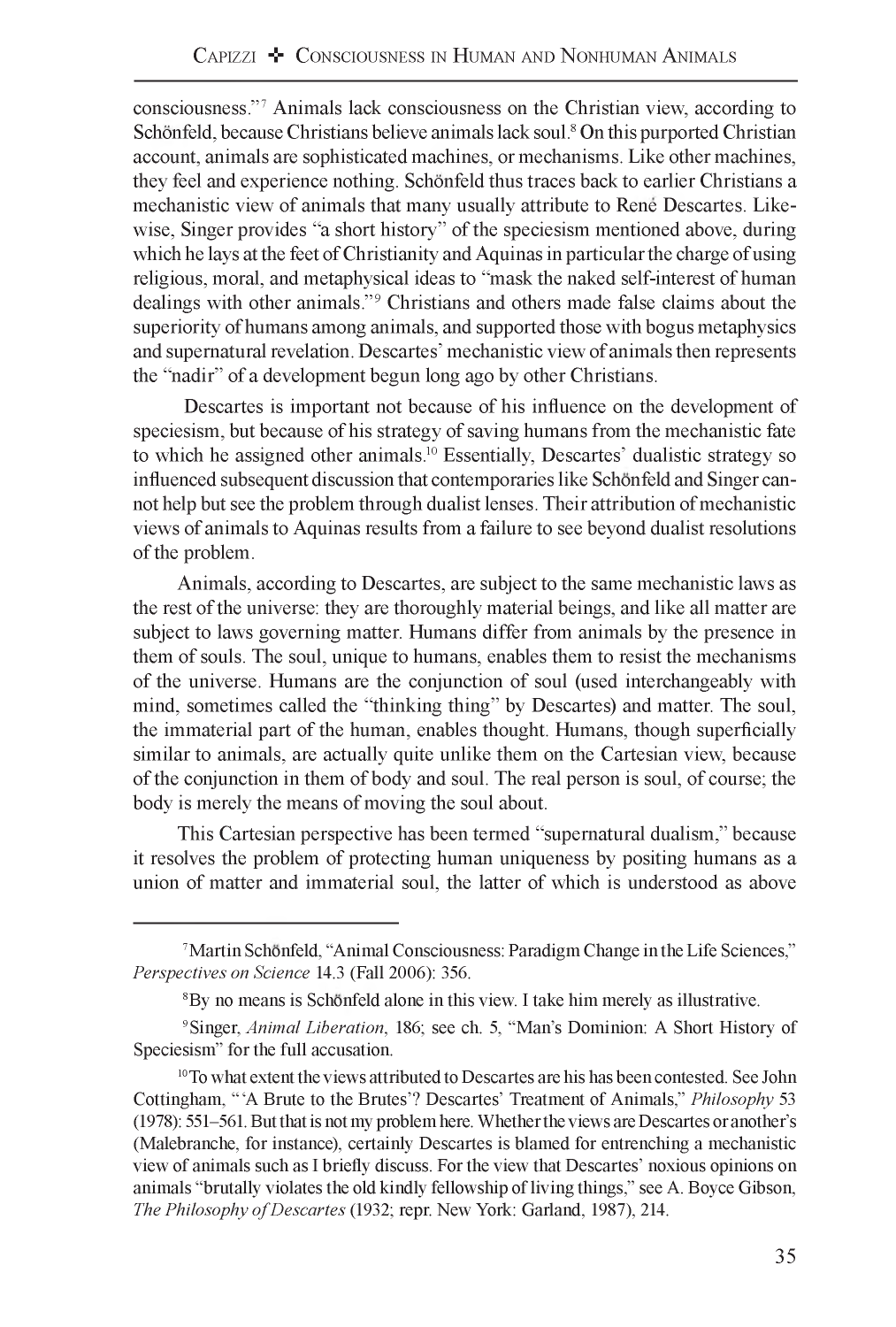consciousness."7 Animals lack consciousness on the Christian view, according to Schönfeld, because Christians believe animals lack soul.<sup>8</sup> On this purported Christian account, animals are sophisticated machines, or mechanisms. Like other machines, they feel and experience nothing. Schonfeld thus traces back to earlier Christians a mechanistic view of animals that many usually attribute to Rene Descartes. Likewise, Singer provides "a short history" of the speciesism mentioned above, during which he lays at the feet of Christianity and Aquinas in particular the charge of using religious, moral, and metaphysical ideas to "mask the naked self-interest of human dealings with other animals."9 Christians and others made false claims about the superiority of humans among animals, and supported those with bogus metaphysics and supernatural revelation. Descartes' mechanistic view of animals then represents the "nadir" of a development begun long ago by other Christians.

Descartes is important not because of his influence on the development of speciesism, but because of his strategy of saving humans from the mechanistic fate to which he assigned other animals.10 Essentially, Descartes' dualistic strategy so influenced subsequent discussion that contemporaries like Schonfeld and Singer cannot help but see the problem through dualist lenses. Their attribution of mechanistic views of animals to Aquinas results from a failure to see beyond dualist resolutions of the problem.

Animals, according to Descartes, are subject to the same mechanistic laws as the rest of the universe: they are thoroughly material beings, and like all matter are subject to laws governing matter. Humans differ from animals by the presence in them of souls. The soul, unique to humans, enables them to resist the mechanisms of the universe. Humans are the conjunction of soul (used interchangeably with mind, sometimes called the "thinking thing" by Descartes) and matter. The soul, the immaterial part of the human, enables thought. Humans, though superficially similar to animals, are actually quite unlike them on the Cartesian view, because of the conjunction in them of body and soul. The real person is soul, of course; the body is merely the means of moving the soul about.

This Cartesian perspective has been termed "supernatural dualism," because it resolves the problem of protecting human uniqueness by positing humans as a union of matter and immaterial soul, the latter of which is understood as above

<sup>&</sup>lt;sup>7</sup> Martin Schönfeld, "Animal Consciousness: Paradigm Change in the Life Sciences," *Perspectives on Science* 14.3 (Fall 2006): 356.

<sup>&</sup>lt;sup>8</sup>By no means is Schönfeld alone in this view. I take him merely as illustrative.

<sup>9</sup> Singer, *Animal Liberation,* 186; see ch. 5, "Man's Dominion: A Short History of Speciesism" for the full accusation.

<sup>&</sup>lt;sup>10</sup> To what extent the views attributed to Descartes are his has been contested. See John Cottingham, " 'A Brute to the Brutes'? Descartes' Treatment of Animals," *Philosophy* 53 (1978): 551-561. But that is not my problem here. Whether the views are Descartes or another's (Malebranche, for instance), certainly Descartes is blamed for entrenching a mechanistic view of animals such as I briefly discuss. For the view that Descartes' noxious opinions on animals "brutally violates the old kindly fellowship of living things," see A. Boyce Gibson, *The Philosophy of Descartes* (1932; repr. New York: Garland, 1987), 214.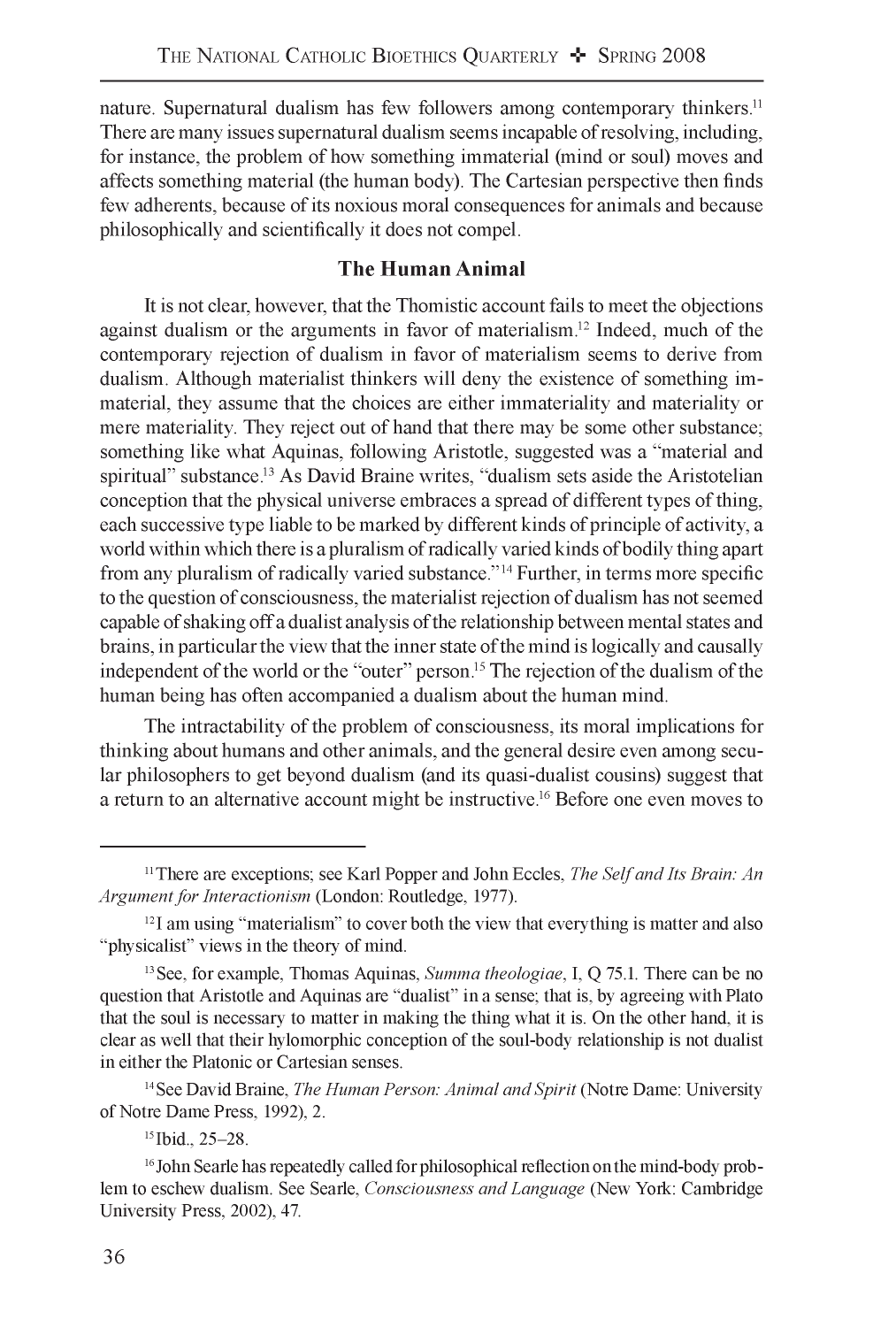nature. Supernatural dualism has few followers among contemporary thinkers.<sup>11</sup> There are many issues supernatural dualism seems incapable of resolving, including, for instance, the problem of how something immaterial (mind or soul) moves and affects something material (the human body). The Cartesian perspective then finds few adherents, because of its noxious moral consequences for animals and because philosophically and scientifically it does not compel.

#### **The Human Animal**

It is not clear, however, that the Thomistic account fails to meet the objections against dualism or the arguments in favor of materialism.<sup>12</sup> Indeed, much of the contemporary rejection of dualism in favor of materialism seems to derive from dualism. Although materialist thinkers will deny the existence of something immaterial, they assume that the choices are either immateriality and materiality or mere materiality. They reject out of hand that there may be some other substance; something like what Aquinas, following Aristotle, suggested was a "material and spiritual" substance.13 As David Braine writes, "dualism sets aside the Aristotelian conception that the physical universe embraces a spread of different types of thing, each successive type liable to be marked by different kinds of principle of activity, a world within which there is a pluralism of radically varied kinds of bodily thing apart from any pluralism of radically varied substance."14 Further, in terms more specific to the question of consciousness, the materialist rejection of dualism has not seemed capable of shaking off a dualist analysis of the relationship between mental states and brains, in particular the view that the inner state of the mind is logically and causally independent of the world or the "outer" person.15 The rejection of the dualism of the human being has often accompanied a dualism about the human mind.

The intractability of the problem of consciousness, its moral implications for thinking about humans and other animals, and the general desire even among secular philosophers to get beyond dualism (and its quasi-dualist cousins) suggest that a return to an alternative account might be instructive.16 Before one even moves to

14 See David Braine, *The Human Person: Animal and Spirit* (Notre Dame: University of Notre Dame Press, 1992), 2.

<sup>11</sup> There are exceptions; see Karl Popper and John Eccles, *The Self and Its Brain: An Argument for Interactionism* (London: Routledge, 1977).

 $12$ I am using "materialism" to cover both the view that everything is matter and also "physicalist" views in the theory of mind.

<sup>13</sup> See, for example, Thomas Aquinas, *Summa theologiae,* I, Q 75.1. There can be no question that Aristotle and Aquinas are "dualist" in a sense; that is, by agreeing with Plato that the soul is necessary to matter in making the thing what it is. On the other hand, it is clear as well that their hylomorphic conception of the soul-body relationship is not dualist in either the Platonic or Cartesian senses.

<sup>15</sup> Ibid., 25-28.

<sup>&</sup>lt;sup>16</sup> John Searle has repeatedly called for philosophical reflection on the mind-body problem to eschew dualism. See Searle, *Consciousness and Language* (New York: Cambridge University Press, 2002), 47.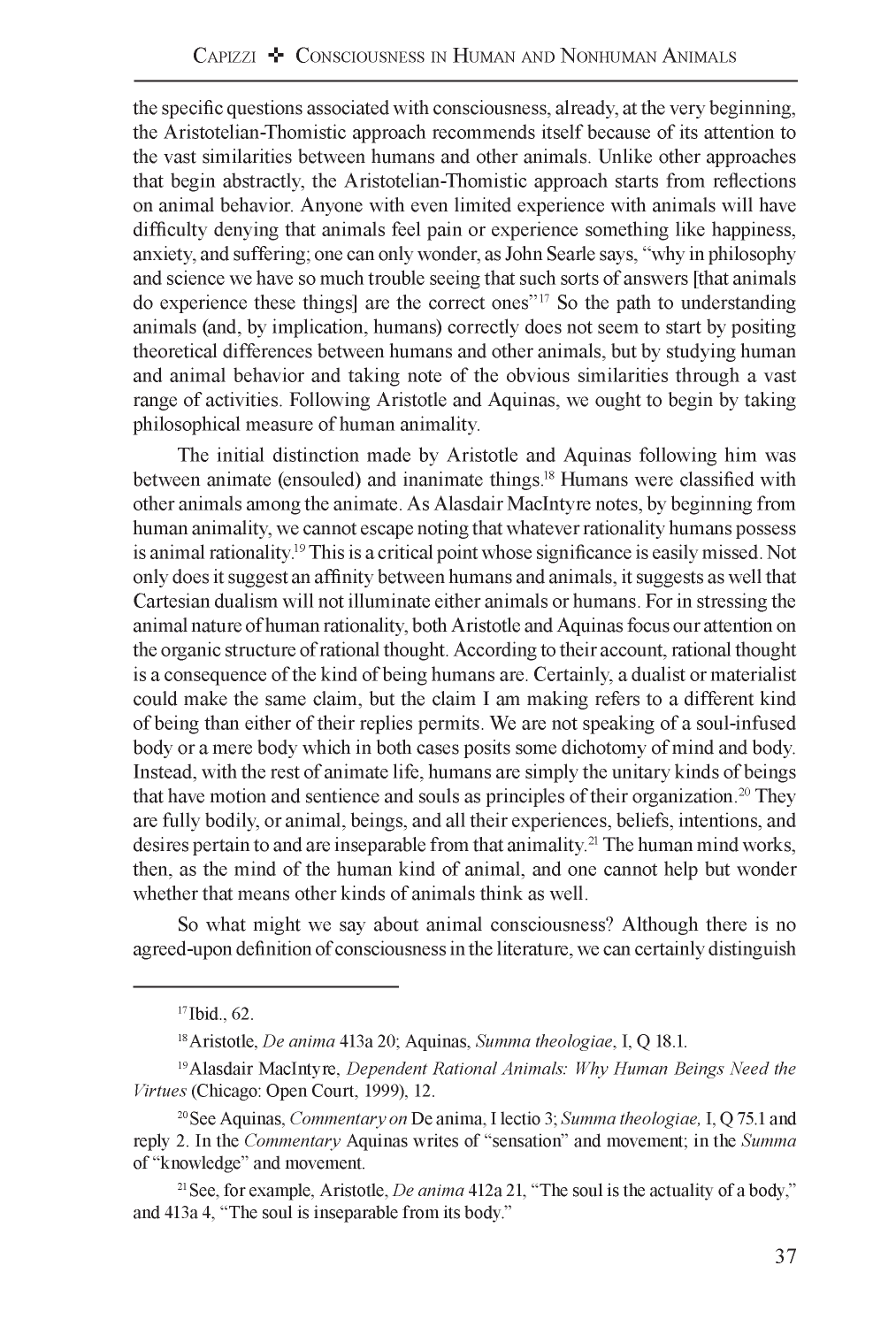the specific questions associated with consciousness, already, at the very beginning, the Aristotelian-Thomistic approach recommends itself because of its attention to the vast similarities between humans and other animals. Unlike other approaches that begin abstractly, the Aristotelian-Thomistic approach starts from reflections on animal behavior. Anyone with even limited experience with animals will have difficulty denying that animals feel pain or experience something like happiness, anxiety, and suffering; one can only wonder, as John Searle says, "why in philosophy and science we have so much trouble seeing that such sorts of answers [that animals do experience these things] are the correct ones"17 So the path to understanding animals (and, by implication, humans) correctly does not seem to start by positing theoretical differences between humans and other animals, but by studying human and animal behavior and taking note of the obvious similarities through a vast range of activities. Following Aristotle and Aquinas, we ought to begin by taking philosophical measure of human animality.

The initial distinction made by Aristotle and Aquinas following him was between animate (ensouled) and inanimate things.<sup>18</sup> Humans were classified with other animals among the animate. As Alasdair MacIntyre notes, by beginning from human animality, we cannot escape noting that whatever rationality humans possess is animal rationality.19 This is a critical point whose significance is easily missed. Not only does it suggest an affinity between humans and animals, it suggests as well that Cartesian dualism will not illuminate either animals or humans. For in stressing the animal nature of human rationality, both Aristotle and Aquinas focus our attention on the organic structure of rational thought. According to their account, rational thought is a consequence of the kind of being humans are. Certainly, a dualist or materialist could make the same claim, but the claim I am making refers to a different kind of being than either of their replies permits. We are not speaking of a soul-infused body or a mere body which in both cases posits some dichotomy of mind and body. Instead, with the rest of animate life, humans are simply the unitary kinds of beings that have motion and sentience and souls as principles of their organization.<sup>20</sup> They are fully bodily, or animal, beings, and all their experiences, beliefs, intentions, and desires pertain to and are inseparable from that animality.<sup>21</sup> The human mind works, then, as the mind of the human kind of animal, and one cannot help but wonder whether that means other kinds of animals think as well.

So what might we say about animal consciousness? Although there is no agreed-upon definition of consciousness in the literature, we can certainly distinguish

<sup>&</sup>lt;sup>17</sup> Ibid., 62.

<sup>18</sup> Aristotle, *De anima* 413a 20; Aquinas, *Summa theologiae,* I, Q 18.1.

<sup>19</sup> Alasdair MacIntyre, *Dependent Rational Animals: Why Human Beings Need the Virtues* (Chicago: Open Court, 1999), 12.

<sup>20</sup> See Aquinas, *Commentary on* De anima, I lectio 3; *Summa theologiae,* I, Q 75.1 and reply 2. In the *Commentary* Aquinas writes of "sensation" and movement; in the *Summa* of "knowledge" and movement.

<sup>21</sup> See, for example, Aristotle, *De anima* 412a 21, "The soul is the actuality of a body," and 413a 4, "The soul is inseparable from its body."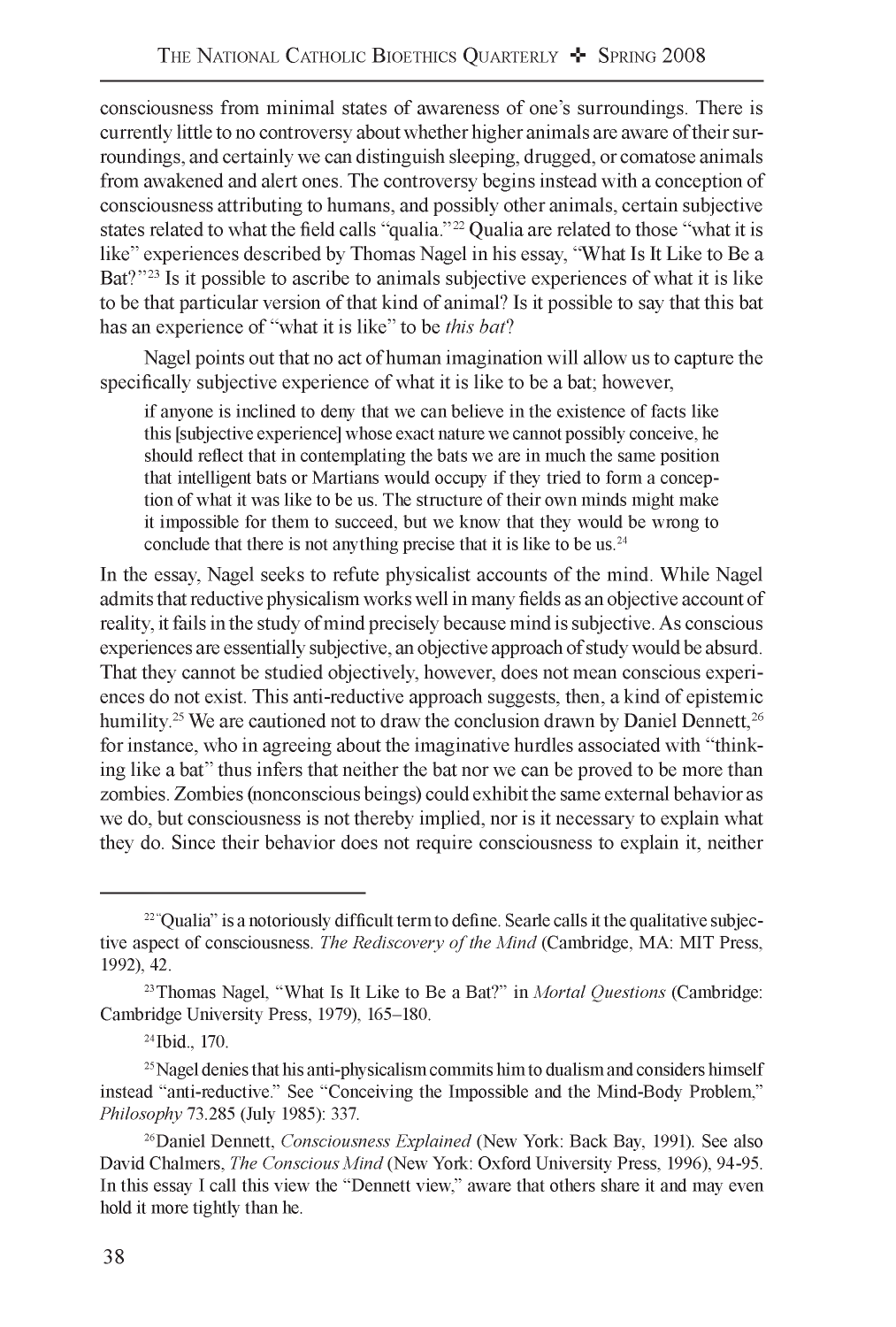consciousness from minimal states of awareness of one's surroundings. There is currently little to no controversy about whether higher animals are aware of their surroundings, and certainly we can distinguish sleeping, drugged, or comatose animals from awakened and alert ones. The controversy begins instead with a conception of consciousness attributing to humans, and possibly other animals, certain subjective states related to what the field calls "qualia."22 Qualia are related to those "what it is like" experiences described by Thomas Nagel in his essay, "What Is It Like to Be a Bat?"<sup>23</sup> Is it possible to ascribe to animals subjective experiences of what it is like to be that particular version of that kind of animal? Is it possible to say that this bat has an experience of "what it is like" to be *this bat?*

Nagel points out that no act of human imagination will allow us to capture the specifically subjective experience of what it is like to be a bat; however,

if anyone is inclined to deny that we can believe in the existence of facts like this [subjective experience] whose exact nature we cannot possibly conceive, he should reflect that in contemplating the bats we are in much the same position that intelligent bats or Martians would occupy if they tried to form a conception of what it was like to be us. The structure of their own minds might make it impossible for them to succeed, but we know that they would be wrong to conclude that there is not anything precise that it is like to be us. $24$ 

In the essay, Nagel seeks to refute physicalist accounts of the mind. While Nagel admits that reductive physicalism works well in many fields as an objective account of reality, it fails in the study of mind precisely because mind is subjective. As conscious experiences are essentially subjective, an objective approach of study would be absurd. That they cannot be studied objectively, however, does not mean conscious experiences do not exist. This anti-reductive approach suggests, then, a kind of epistemic humility.<sup>25</sup> We are cautioned not to draw the conclusion drawn by Daniel Dennett,<sup>26</sup> for instance, who in agreeing about the imaginative hurdles associated with "thinking like a bat" thus infers that neither the bat nor we can be proved to be more than zombies. Zombies (nonconscious beings) could exhibit the same external behavior as we do, but consciousness is not thereby implied, nor is it necessary to explain what they do. Since their behavior does not require consciousness to explain it, neither

<sup>&</sup>lt;sup>22</sup> "Qualia" is a notoriously difficult term to define. Searle calls it the qualitative subjective aspect of consciousness. *The Rediscovery of the Mind* (Cambridge, MA: MIT Press, 1992), 42.

<sup>23</sup> Thomas Nagel, "What Is It Like to Be a Bat?" in *Mortal Questions* (Cambridge: Cambridge University Press, 1979), 165-180.

<sup>24</sup> Ibid., 170.

 $25$  Nagel denies that his anti-physicalism commits him to dualism and considers himself instead "anti-reductive." See "Conceiving the Impossible and the Mind-Body Problem," *Philosophy* 73.285 (July 1985): 337.

<sup>26</sup> Daniel Dennett, *Consciousness Explained* (New York: Back Bay, 1991). See also David Chalmers, *The Conscious Mind* (New York: Oxford University Press, 1996), 94-95. In this essay I call this view the "Dennett view," aware that others share it and may even hold it more tightly than he.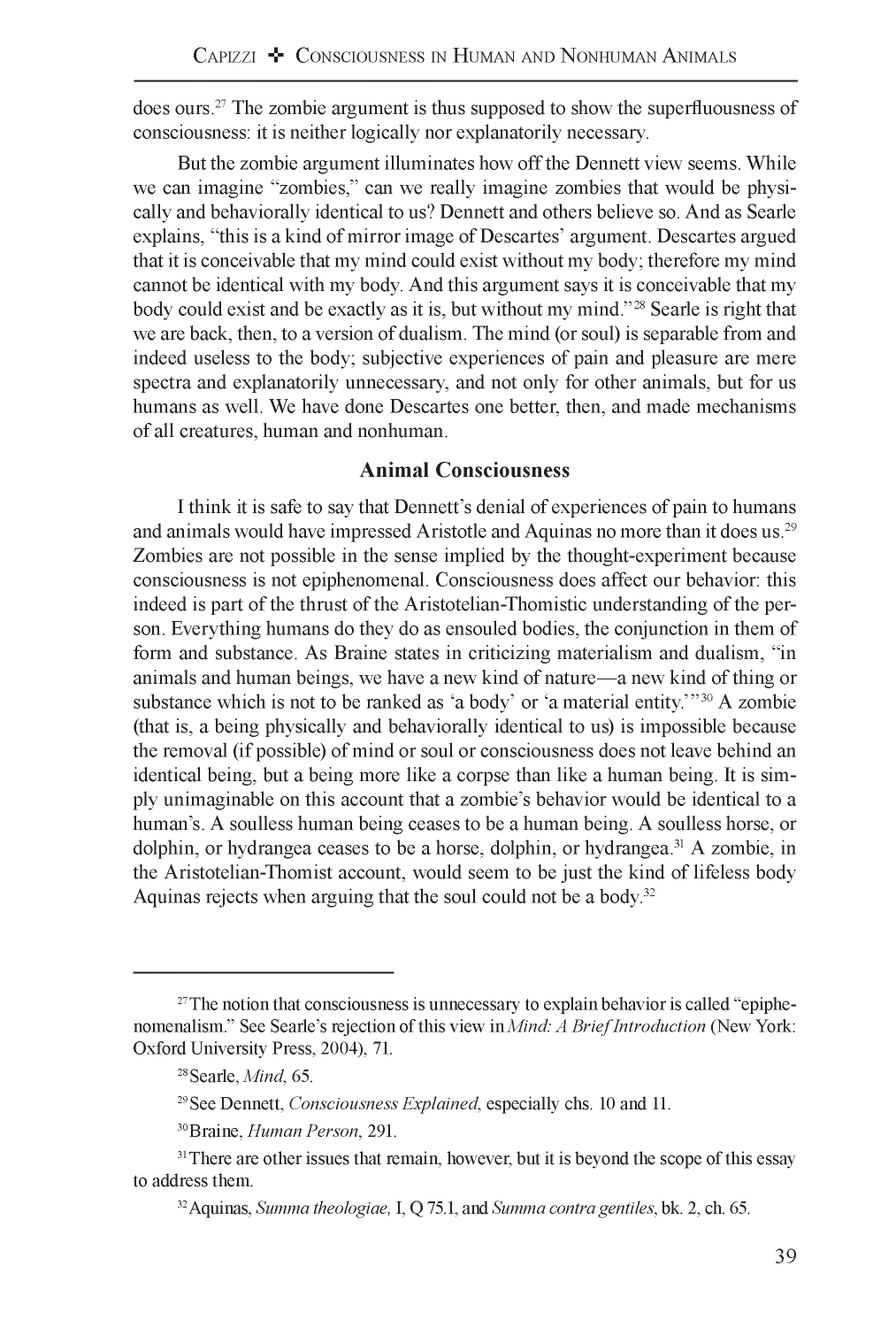does ours.27 The zombie argument is thus supposed to show the superfluousness of consciousness: it is neither logically nor explanatorily necessary.

But the zombie argument illuminates how off the Dennett view seems. While we can imagine "zombies," can we really imagine zombies that would be physically and behaviorally identical to us? Dennett and others believe so. And as Searle explains, "this is a kind of mirror image of Descartes' argument. Descartes argued that it is conceivable that my mind could exist without my body; therefore my mind cannot be identical with my body. And this argument says it is conceivable that my body could exist and be exactly as it is, but without my mind."<sup>28</sup> Searle is right that we are back, then, to a version of dualism. The mind (or soul) is separable from and indeed useless to the body; subjective experiences of pain and pleasure are mere spectra and explanatorily unnecessary, and not only for other animals, but for us humans as well. We have done Descartes one better, then, and made mechanisms of all creatures, human and nonhuman.

#### **Animal Consciousness**

I think it is safe to say that Dennett's denial of experiences of pain to humans and animals would have impressed Aristotle and Aquinas no more than it does us.29 Zombies are not possible in the sense implied by the thought-experiment because consciousness is not epiphenomenal. Consciousness does affect our behavior: this indeed is part of the thrust of the Aristotelian-Thomistic understanding of the person. Everything humans do they do as ensouled bodies, the conjunction in them of form and substance. As Braine states in criticizing materialism and dualism, "in animals and human beings, we have a new kind of nature—a new kind of thing or substance which is not to be ranked as 'a body' or 'a material entity.'"<sup>30</sup> A zombie (that is, a being physically and behaviorally identical to us) is impossible because the removal (if possible) of mind or soul or consciousness does not leave behind an identical being, but a being more like a corpse than like a human being. It is simply unimaginable on this account that a zombie's behavior would be identical to a human's. A soulless human being ceases to be a human being. A soulless horse, or dolphin, or hydrangea ceases to be a horse, dolphin, or hydrangea.<sup>31</sup> A zombie, in the Aristotelian-Thomist account, would seem to be just the kind of lifeless body Aquinas rejects when arguing that the soul could not be a body.32

 $27$ The notion that consciousness is unnecessary to explain behavior is called "epiphenomenalism." See Searle's rejection of this view in *Mind: A Brief Introduction* (New York: Oxford University Press, 2004), 71.

<sup>28</sup> Searle, *Mind,* 65.

<sup>29</sup> See Dennett, *Consciousness Explained,* especially chs. 10 and 11.

<sup>30</sup> Braine, *Human Person*, 291.

<sup>&</sup>lt;sup>31</sup> There are other issues that remain, however, but it is beyond the scope of this essay to address them.

<sup>32</sup> Aquinas, *Summa theologiae,* I, Q 75.1, and *Summa contra gentiles,* bk. 2, ch. 65.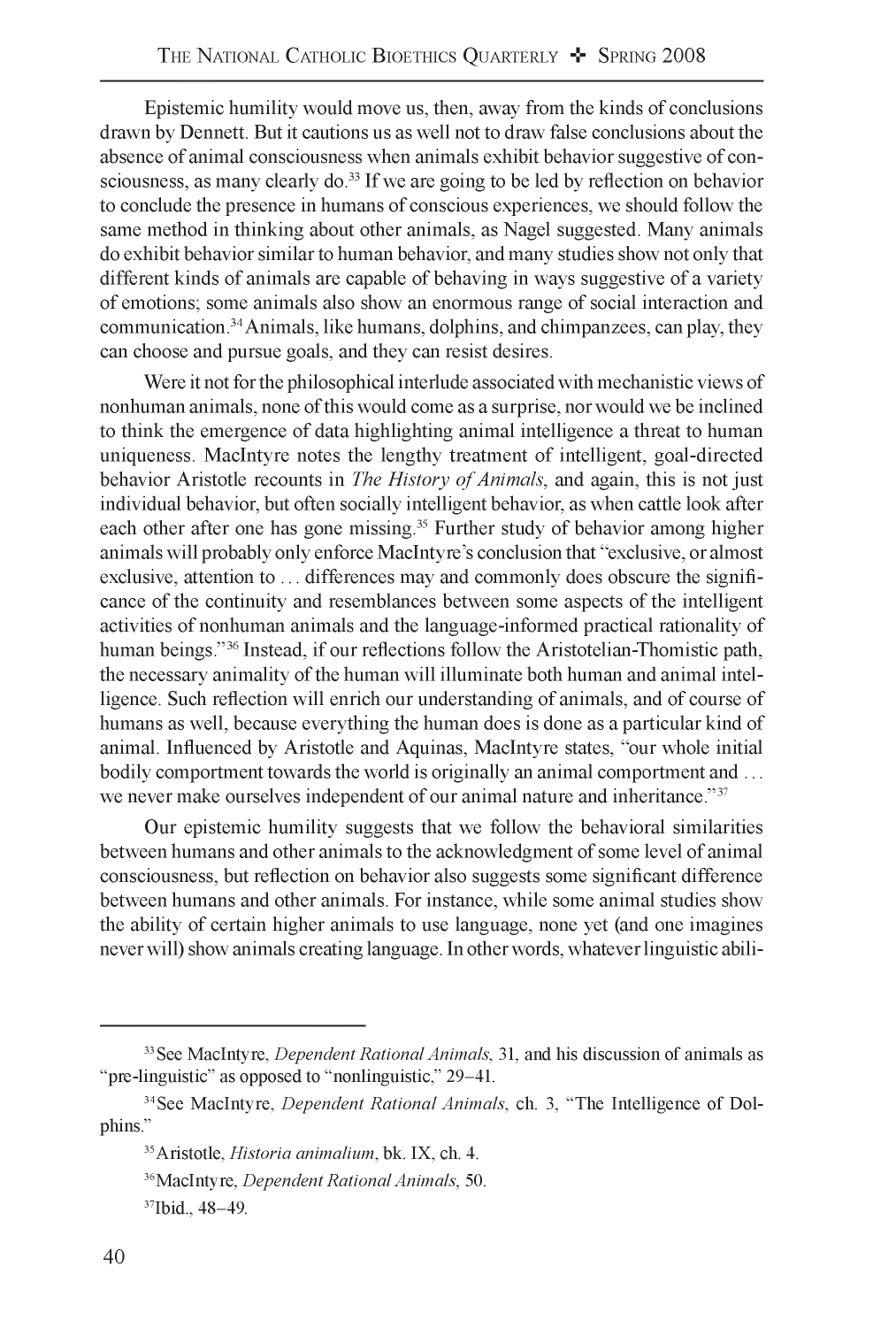Epistemic humility would move us, then, away from the kinds of conclusions drawn by Dennett. But it cautions us as well not to draw false conclusions about the absence of animal consciousness when animals exhibit behavior suggestive of consciousness, as many clearly do.33 If we are going to be led by reflection on behavior to conclude the presence in humans of conscious experiences, we should follow the same method in thinking about other animals, as Nagel suggested. Many animals do exhibit behavior similar to human behavior, and many studies show not only that different kinds of animals are capable of behaving in ways suggestive of a variety of emotions; some animals also show an enormous range of social interaction and communication.34 Animals, like humans, dolphins, and chimpanzees, can play, they can choose and pursue goals, and they can resist desires.

Were it not for the philosophical interlude associated with mechanistic views of nonhuman animals, none of this would come as a surprise, nor would we be inclined to think the emergence of data highlighting animal intelligence a threat to human uniqueness. MacIntyre notes the lengthy treatment of intelligent, goal-directed behavior Aristotle recounts in *The History of Animals*, and again, this is not just individual behavior, but often socially intelligent behavior, as when cattle look after each other after one has gone missing.<sup>35</sup> Further study of behavior among higher animals will probably only enforce MacIntyre's conclusion that "exclusive, or almost exclusive, attention to ... differences may and commonly does obscure the significance of the continuity and resemblances between some aspects of the intelligent activities of nonhuman animals and the language-informed practical rationality of human beings."<sup>36</sup> Instead, if our reflections follow the Aristotelian-Thomistic path, the necessary animality of the human will illuminate both human and animal intelligence. Such reflection will enrich our understanding of animals, and of course of humans as well, because everything the human does is done as a particular kind of animal. Influenced by Aristotle and Aquinas, MacIntyre states, "our whole initial bodily comportment towards the world is originally an animal comportment and ... we never make ourselves independent of our animal nature and inheritance."<sup>37</sup>

Our epistemic humility suggests that we follow the behavioral similarities between humans and other animals to the acknowledgment of some level of animal consciousness, but reflection on behavior also suggests some significant difference between humans and other animals. For instance, while some animal studies show the ability of certain higher animals to use language, none yet (and one imagines never will) show animals creating language. In other words, whatever linguistic abili-

<sup>33</sup> See MacIntyre, *Dependent Rational Animals,* 31, and his discussion of animals as "pre-linguistic" as opposed to "nonlinguistic," 29-41.

<sup>34</sup> See MacIntyre, *Dependent Rational Animals,* ch. 3, "The Intelligence of Dolphins."

<sup>35</sup> Aristotle, *Historia animalium,* bk. IX, ch. 4.

<sup>36</sup> MacIntyre, *Dependent Rational Animals,* 50.

<sup>37</sup>Ibid., 48-49.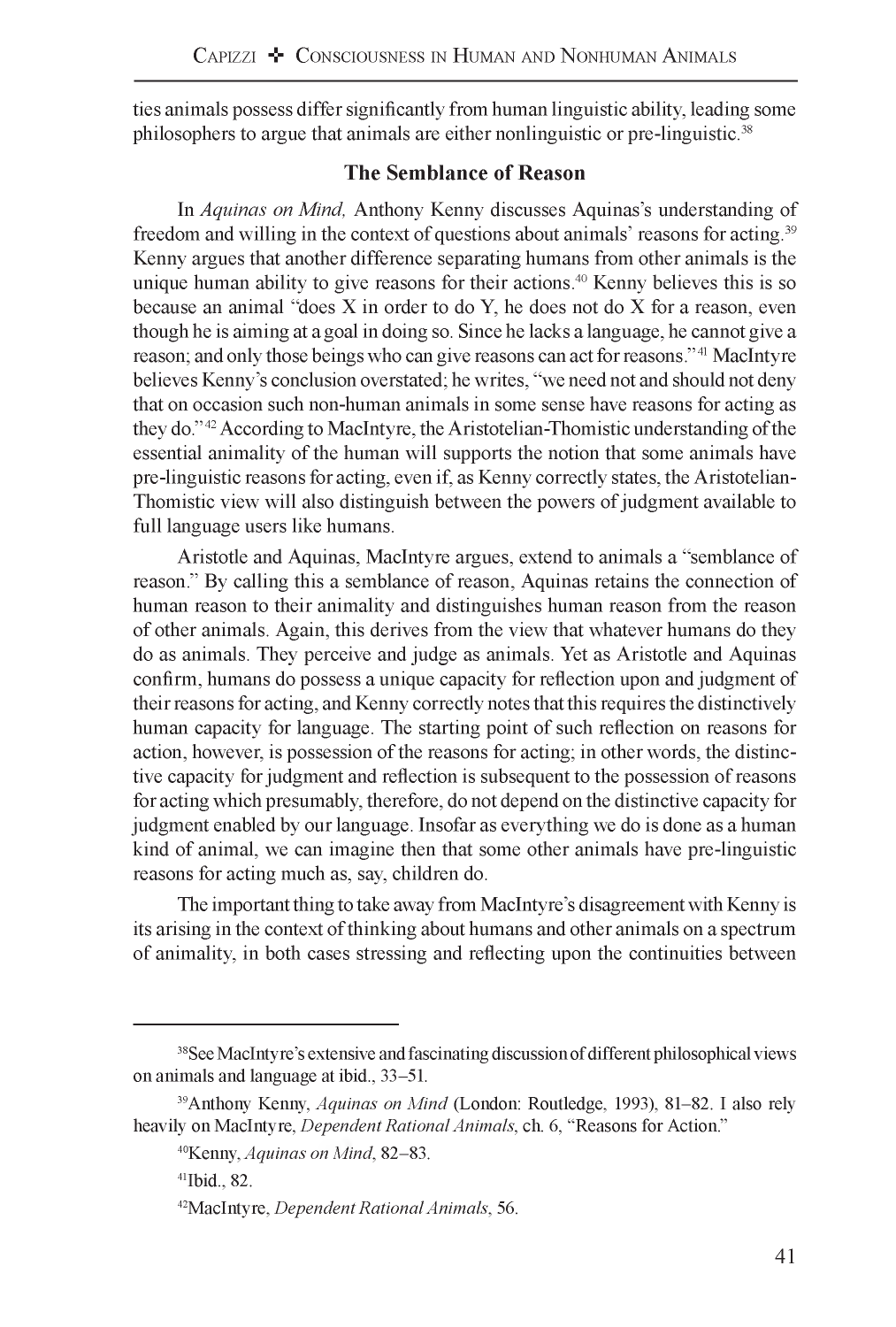ties animals possess differ significantly from human linguistic ability, leading some philosophers to argue that animals are either nonlinguistic or pre-linguistic.<sup>38</sup>

## **The Semblance of Reason**

In *Aquinas on Mind,* Anthony Kenny discusses Aquinas's understanding of freedom and willing in the context of questions about animals' reasons for acting.39 Kenny argues that another difference separating humans from other animals is the unique human ability to give reasons for their actions.<sup>40</sup> Kenny believes this is so because an animal "does  $X$  in order to do  $Y$ , he does not do  $X$  for a reason, even though he is aiming at a goal in doing so. Since he lacks a language, he cannot give a reason; and only those beings who can give reasons can act for reasons."41 MacIntyre believes Kenny's conclusion overstated; he writes, "we need not and should not deny that on occasion such non-human animals in some sense have reasons for acting as they do."42 According to MacIntyre, the Aristotelian-Thomistic understanding of the essential animality of the human will supports the notion that some animals have pre-linguistic reasons for acting, even if, as Kenny correctly states, the Aristotelian-Thomistic view will also distinguish between the powers of judgment available to full language users like humans.

Aristotle and Aquinas, MacIntyre argues, extend to animals a "semblance of reason." By calling this a semblance of reason, Aquinas retains the connection of human reason to their animality and distinguishes human reason from the reason of other animals. Again, this derives from the view that whatever humans do they do as animals. They perceive and judge as animals. Yet as Aristotle and Aquinas confirm, humans do possess a unique capacity for reflection upon and judgment of their reasons for acting, and Kenny correctly notes that this requires the distinctively human capacity for language. The starting point of such reflection on reasons for action, however, is possession of the reasons for acting; in other words, the distinctive capacity for judgment and reflection is subsequent to the possession of reasons for acting which presumably, therefore, do not depend on the distinctive capacity for judgment enabled by our language. Insofar as everything we do is done as a human kind of animal, we can imagine then that some other animals have pre-linguistic reasons for acting much as, say, children do.

The important thing to take away from MacIntyre's disagreement with Kenny is its arising in the context of thinking about humans and other animals on a spectrum of animality, in both cases stressing and reflecting upon the continuities between

<sup>&</sup>lt;sup>38</sup>See MacIntyre's extensive and fascinating discussion of different philosophical views on animals and language at ibid., 33-51.

<sup>39</sup>Anthony Kenny, *Aquinas on Mind* (London: Routledge, 1993), 81-82. I also rely heavily on MacIntyre, *Dependent Rational Animals,* ch. 6, "Reasons for Action."

<sup>40</sup>Kenny, *Aquinas on Mind*, 82-83.

<sup>41</sup>Ibid., 82.

<sup>42</sup>MacIntyre, *Dependent Rational Animals,* 56.